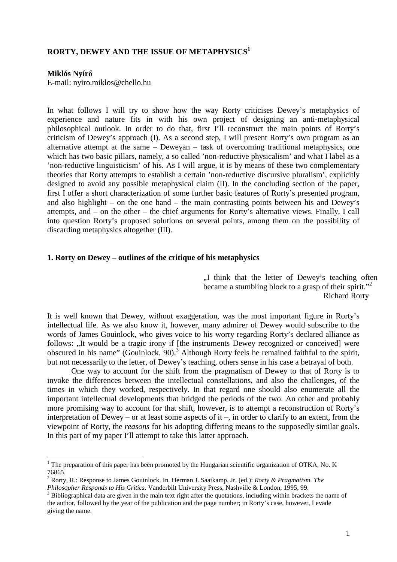# **RORTY, DEWEY AND THE ISSUE OF METAPHYSICS<sup>1</sup>**

#### **Miklós Nyírő**

E-mail: nyiro.miklos@chello.hu

In what follows I will try to show how the way Rorty criticises Dewey's metaphysics of experience and nature fits in with his own project of designing an anti-metaphysical philosophical outlook. In order to do that, first I'll reconstruct the main points of Rorty's criticism of Dewey's approach (I). As a second step, I will present Rorty's own program as an alternative attempt at the same – Deweyan – task of overcoming traditional metaphysics, one which has two basic pillars, namely, a so called 'non-reductive physicalism' and what I label as a 'non-reductive linguisticism' of his. As I will argue, it is by means of these two complementary theories that Rorty attempts to establish a certain 'non-reductive discursive pluralism', explicitly designed to avoid any possible metaphysical claim (II). In the concluding section of the paper, first I offer a short characterization of some further basic features of Rorty's presented program, and also highlight – on the one hand – the main contrasting points between his and Dewey's attempts, and – on the other – the chief arguments for Rorty's alternative views. Finally, I call into question Rorty's proposed solutions on several points, among them on the possibility of discarding metaphysics altogether (III).

#### **1. Rorty on Dewey – outlines of the critique of his metaphysics**

., I think that the letter of Dewey's teaching often became a stumbling block to a grasp of their spirit."<sup>2</sup> Richard Rorty

It is well known that Dewey, without exaggeration, was the most important figure in Rorty's intellectual life. As we also know it, however, many admirer of Dewey would subscribe to the words of James Gouinlock, who gives voice to his worry regarding Rorty's declared alliance as follows: "It would be a tragic irony if [the instruments Dewey recognized or conceived] were obscured in his name" (Gouinlock, 90).<sup>3</sup> Although Rorty feels he remained faithful to the spirit, but not necessarily to the letter, of Dewey's teaching, others sense in his case a betrayal of both.

One way to account for the shift from the pragmatism of Dewey to that of Rorty is to invoke the differences between the intellectual constellations, and also the challenges, of the times in which they worked, respectively. In that regard one should also enumerate all the important intellectual developments that bridged the periods of the two. An other and probably more promising way to account for that shift, however, is to attempt a reconstruction of Rorty's interpretation of Dewey – or at least some aspects of it –, in order to clarify to an extent, from the viewpoint of Rorty, the *reasons* for his adopting differing means to the supposedly similar goals. In this part of my paper I'll attempt to take this latter approach.

<sup>&</sup>lt;sup>1</sup> The preparation of this paper has been promoted by the Hungarian scientific organization of OTKA, No. K 76865.

<sup>2</sup> Rorty, R.: Response to James Gouinlock. In. Herman J. Saatkamp, Jr. (ed.): *Rorty & Pragmatism. The Philosopher Responds to His Critics.* Vanderbilt University Press, Nashville & London, 1995, 99.

 $3$  Bibliographical data are given in the main text right after the quotations, including within brackets the name of the author, followed by the year of the publication and the page number; in Rorty's case, however, I evade giving the name.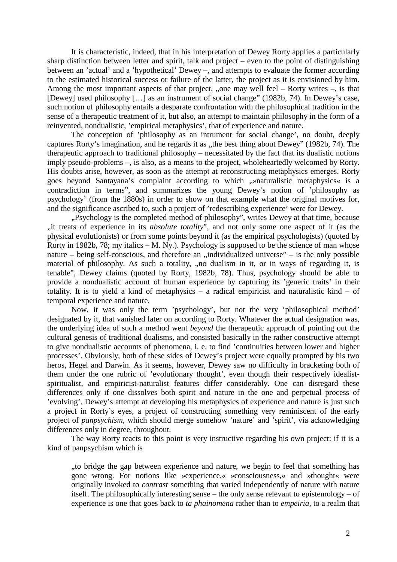It is characteristic, indeed, that in his interpretation of Dewey Rorty applies a particularly sharp distinction between letter and spirit, talk and project – even to the point of distinguishing between an 'actual' and a 'hypothetical' Dewey –, and attempts to evaluate the former according to the estimated historical success or failure of the latter, the project as it is envisioned by him. Among the most important aspects of that project, "one may well feel – Rorty writes –, is that [Dewey] used philosophy […] as an instrument of social change" (1982b, 74). In Dewey's case, such notion of philosophy entails a desparate confrontation with the philosophical tradition in the sense of a therapeutic treatment of it, but also, an attempt to maintain philosophy in the form of a reinvented, nondualistic, 'empirical metaphysics', that of experience and nature.

The conception of 'philosophy as an intrument for social change', no doubt, deeply captures Rorty's imagination, and he regards it as "the best thing about Dewey" (1982b, 74). The therapeutic approach to traditional philosophy – necessitated by the fact that its dualistic notions imply pseudo-problems –, is also, as a means to the project, wholeheartedly welcomed by Rorty. His doubts arise, however, as soon as the attempt at reconstructing metaphysics emerges. Rorty goes beyond Santayana's complaint according to which "»naturalistic metaphysics« is a contradiction in terms", and summarizes the young Dewey's notion of 'philosophy as psychology' (from the 1880s) in order to show on that example what the original motives for, and the significance ascribed to, such a project of 'redescribing experience' were for Dewey.

"Psychology is the completed method of philosophy", writes Dewey at that time, because "it treats of experience in its *absolute totality*", and not only some one aspect of it (as the physical evolutionists) or from some points beyond it (as the empirical psychologists) (quoted by Rorty in 1982b, 78; my italics – M. Ny.). Psychology is supposed to be the science of man whose nature – being self-conscious, and therefore an "individualized universe" – is the only possible material of philosophy. As such a totality, "no dualism in it, or in ways of regarding it, is tenable", Dewey claims (quoted by Rorty, 1982b, 78). Thus, psychology should be able to provide a nondualistic account of human experience by capturing its 'generic traits' in their totality. It is to yield a kind of metaphysics – a radical empiricist and naturalistic kind – of temporal experience and nature.

Now, it was only the term 'psychology', but not the very 'philosophical method' designated by it, that vanished later on according to Rorty. Whatever the actual designation was, the underlying idea of such a method went *beyond* the therapeutic approach of pointing out the cultural genesis of traditional dualisms, and consisted basically in the rather constructive attempt to give nondualistic accounts of phenomena, i. e. to find 'continuities between lower and higher processes'. Obviously, both of these sides of Dewey's project were equally prompted by his two heros, Hegel and Darwin. As it seems, however, Dewey saw no difficulty in bracketing both of them under the one rubric of 'evolutionary thought', even though their respectively idealistspiritualist, and empiricist-naturalist features differ considerably. One can disregard these differences only if one dissolves both spirit and nature in the one and perpetual process of 'evolving'. Dewey's attempt at developing his metaphysics of experience and nature is just such a project in Rorty's eyes, a project of constructing something very reminiscent of the early project of *panpsychism,* which should merge somehow 'nature' and 'spirit', via acknowledging differences only in degree, throughout.

The way Rorty reacts to this point is very instructive regarding his own project: if it is a kind of panpsychism which is

..to bridge the gap between experience and nature, we begin to feel that something has gone wrong. For notions like »experience,« »consciousness,« and »thought« were originally invoked to *contrast* something that varied independently of nature with nature itself. The philosophically interesting sense – the only sense relevant to epistemology – of experience is one that goes back to *ta phainomena* rather than to *empeiria,* to a realm that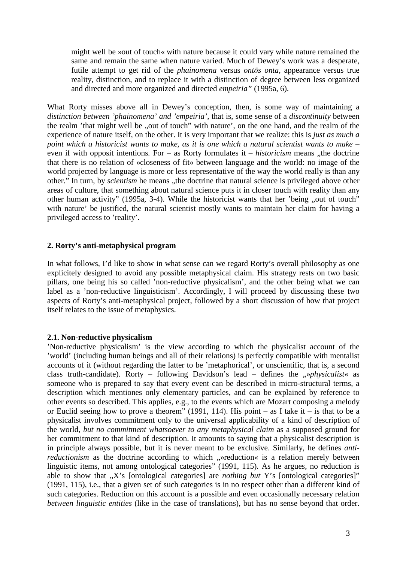might well be »out of touch« with nature because it could vary while nature remained the same and remain the same when nature varied. Much of Dewey's work was a desperate, futile attempt to get rid of the *phainomena* versus *ontōs onta,* appearance versus true reality, distinction, and to replace it with a distinction of degree between less organized and directed and more organized and directed *empeiria"* (1995a, 6).

What Rorty misses above all in Dewey's conception, then, is some way of maintaining a *distinction between 'phainomena' and 'empeiria',* that is, some sense of a *discontinuity* between the realm 'that might well be "out of touch" with nature', on the one hand, and the realm of the experience of nature itself, on the other. It is very important that we realize: this is *just as much a point which a historicist wants to make, as it is one which a natural scientist wants to make –*  even if with opposit intentions. For  $-$  as Rorty formulates it  $-$  *historicism* means "the doctrine that there is no relation of »closeness of fit« between language and the world: no image of the world projected by language is more or less representative of the way the world really is than any other." In turn, by *scientism* he means , the doctrine that natural science is privileged above other areas of culture, that something about natural science puts it in closer touch with reality than any other human activity" (1995a, 3-4). While the historicist wants that her 'being "out of touch" with nature' be justified, the natural scientist mostly wants to maintain her claim for having a privileged access to 'reality'.

## **2. Rorty's anti-metaphysical program**

In what follows, I'd like to show in what sense can we regard Rorty's overall philosophy as one explicitely designed to avoid any possible metaphysical claim. His strategy rests on two basic pillars, one being his so called 'non-reductive physicalism', and the other being what we can label as a 'non-reductive linguisticism'. Accordingly, I will proceed by discussing these two aspects of Rorty's anti-metaphysical project, followed by a short discussion of how that project itself relates to the issue of metaphysics.

## **2.1. Non-reductive physicalism**

'Non-reductive physicalism' is the view according to which the physicalist account of the 'world' (including human beings and all of their relations) is perfectly compatible with mentalist accounts of it (without regarding the latter to be 'metaphorical', or unscientific, that is, a second class truth-candidate). Rorty – following Davidson's lead – defines the "*»physicalist*« as someone who is prepared to say that every event can be described in micro-structural terms, a description which mentiones only elementary particles, and can be explained by reference to other events so described. This applies, e.g., to the events which are Mozart composing a melody or Euclid seeing how to prove a theorem" (1991, 114). His point – as I take it – is that to be a physicalist involves commitment only to the universal applicability of a kind of description of the world, *but no commitment whatsoever to any metaphysical claim* as a supposed ground for her commitment to that kind of description. It amounts to saying that a physicalist description is in principle always possible, but it is never meant to be exclusive. Similarly, he defines *antireductionism* as the doctrine according to which "»reduction« is a relation merely between linguistic items, not among ontological categories" (1991, 115). As he argues, no reduction is able to show that "X's [ontological categories] are *nothing but* Y's [ontological categories]" (1991, 115), i.e., that a given set of such categories is in no respect other than a different kind of such categories. Reduction on this account is a possible and even occasionally necessary relation *between linguistic entities* (like in the case of translations), but has no sense beyond that order.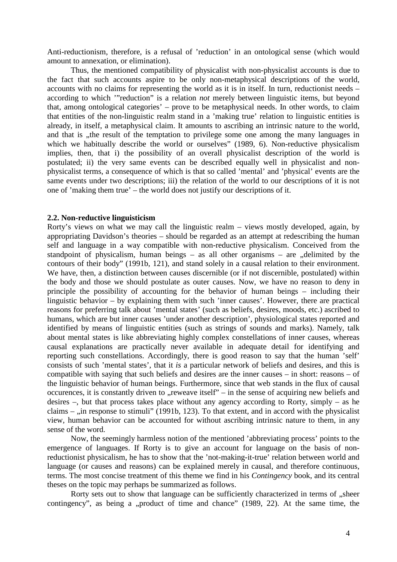Anti-reductionism, therefore, is a refusal of 'reduction' in an ontological sense (which would amount to annexation, or elimination).

Thus, the mentioned compatibility of physicalist with non-physicalist accounts is due to the fact that such accounts aspire to be only non-metaphysical descriptions of the world, accounts with no claims for representing the world as it is in itself. In turn, reductionist needs – according to which '"reduction" is a relation *not* merely between linguistic items, but beyond that, among ontological categories' – prove to be metaphysical needs. In other words, to claim that entities of the non-linguistic realm stand in a 'making true' relation to linguistic entities is already, in itself, a metaphysical claim. It amounts to ascribing an intrinsic nature to the world, and that is , the result of the temptation to privilege some one among the many languages in which we habitually describe the world or ourselves" (1989, 6). Non-reductive physicalism implies, then, that i) the possibility of an overall physicalist description of the world is postulated; ii) the very same events can be described equally well in physicalist and nonphysicalist terms, a consequence of which is that so called 'mental' and 'physical' events are the same events under two descriptions; iii) the relation of the world to our descriptions of it is not one of 'making them true' – the world does not justify our descriptions of it.

### **2.2. Non-reductive linguisticism**

Rorty's views on what we may call the linguistic realm – views mostly developed, again, by appropriating Davidson's theories – should be regarded as an attempt at redescribing the human self and language in a way compatible with non-reductive physicalism. Conceived from the standpoint of physicalism, human beings – as all other organisms – are "delimited by the contours of their body" (1991b, 121), and stand solely in a causal relation to their environment. We have, then, a distinction between causes discernible (or if not discernible, postulated) within the body and those we should postulate as outer causes. Now, we have no reason to deny in principle the possibility of accounting for the behavior of human beings – including their linguistic behavior – by explaining them with such 'inner causes'. However, there are practical reasons for preferring talk about 'mental states' (such as beliefs, desires, moods, etc.) ascribed to humans, which are but inner causes 'under another description', physiological states reported and identified by means of linguistic entities (such as strings of sounds and marks). Namely, talk about mental states is like abbreviating highly complex constellations of inner causes, whereas causal explanations are practically never available in adequate detail for identifying and reporting such constellations. Accordingly, there is good reason to say that the human 'self' consists of such 'mental states', that it *is* a particular network of beliefs and desires, and this is compatible with saying that such beliefs and desires are the inner causes – in short: reasons – of the linguistic behavior of human beings. Furthermore, since that web stands in the flux of causal occurences, it is constantly driven to "reweave itself" – in the sense of acquiring new beliefs and desires –, but that process takes place without any agency according to Rorty, simply – as he claims  $-$ , in response to stimuli" (1991b, 123). To that extent, and in accord with the physicalist view, human behavior can be accounted for without ascribing intrinsic nature to them, in any sense of the word.

Now, the seemingly harmless notion of the mentioned 'abbreviating process' points to the emergence of languages. If Rorty is to give an account for language on the basis of nonreductionist physicalism, he has to show that the 'not-making-it-true' relation between world and language (or causes and reasons) can be explained merely in causal, and therefore continuous, terms. The most concise treatment of this theme we find in his *Contingency* book, and its central theses on the topic may perhaps be summarized as follows.

Rorty sets out to show that language can be sufficiently characterized in terms of ...sheer contingency", as being a "product of time and chance"  $(1989, 22)$ . At the same time, the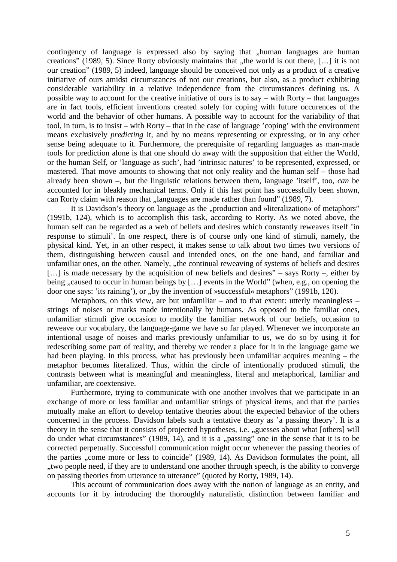contingency of language is expressed also by saying that "human languages are human creations" (1989, 5). Since Rorty obviously maintains that "the world is out there,  $[...]$  it is not our creation" (1989, 5) indeed, language should be conceived not only as a product of a creative initiative of ours amidst circumstances of not our creations, but also, as a product exhibiting considerable variability in a relative independence from the circumstances defining us. A possible way to account for the creative initiative of ours is to say – with Rorty – that languages are in fact tools, efficient inventions created solely for coping with future occurences of the world and the behavior of other humans. A possible way to account for the variability of that tool, in turn, is to insist – with Rorty – that in the case of language 'coping' with the environment means exclusively *predicting* it, and by no means representing or expressing, or in any other sense being adequate to it. Furthermore, the prerequisite of regarding languages as man-made tools for prediction alone is that one should do away with the supposition that either the World, or the human Self, or 'language as such', had 'intrinsic natures' to be represented, expressed, or mastered. That move amounts to showing that not only reality and the human self – those had already been shown –, but the linguistic relations between them, language 'itself', too, *can* be accounted for in bleakly mechanical terms. Only if this last point has successfully been shown, can Rorty claim with reason that "languages are made rather than found" (1989, 7).

It is Davidson's theory on language as the "production and »literalization« of metaphors" (1991b, 124), which is to accomplish this task, according to Rorty. As we noted above, the human self can be regarded as a web of beliefs and desires which constantly reweaves itself 'in response to stimuli'. In one respect, there is of course only one kind of stimuli, namely, the physical kind. Yet, in an other respect, it makes sense to talk about two times two versions of them, distinguishing between causal and intended ones, on the one hand, and familiar and unfamiliar ones, on the other. Namely, "the continual reweaving of systems of beliefs and desires [...] is made necessary by the acquisition of new beliefs and desires" – says Rorty –, either by being "caused to occur in human beings by [...] events in the World" (when, e.g., on opening the door one says: 'its raining'), or "by the invention of »successful« metaphors" (1991b, 120).

Metaphors, on this view, are but unfamiliar  $-$  and to that extent: utterly meaningless  $$ strings of noises or marks made intentionally by humans. As opposed to the familiar ones, unfamiliar stimuli give occasion to modify the familiar network of our beliefs, occasion to reweave our vocabulary, the language-game we have so far played. Whenever we incorporate an intentional usage of noises and marks previously unfamiliar to us, we do so by using it for redescribing some part of reality, and thereby we render a place for it in the language game we had been playing. In this process, what has previously been unfamiliar acquires meaning – the metaphor becomes literalized. Thus, within the circle of intentionally produced stimuli, the contrasts between what is meaningful and meaningless, literal and metaphorical, familiar and unfamiliar, are coextensive.

Furthermore, trying to communicate with one another involves that we participate in an exchange of more or less familiar and unfamiliar strings of physical items, and that the parties mutually make an effort to develop tentative theories about the expected behavior of the others concerned in the process. Davidson labels such a tentative theory as 'a passing theory'. It is a theory in the sense that it consists of projected hypotheses, i.e. "guesses about what [others] will do under what circumstances" (1989, 14), and it is a "passing" one in the sense that it is to be corrected perpetually. Successfull communication might occur whenever the passing theories of the parties , come more or less to coincide" (1989, 14). As Davidson formulates the point, all "two people need, if they are to understand one another through speech, is the ability to converge. on passing theories from utterance to utterance" (quoted by Rorty, 1989, 14).

This account of communication does away with the notion of language as an entity, and accounts for it by introducing the thoroughly naturalistic distinction between familiar and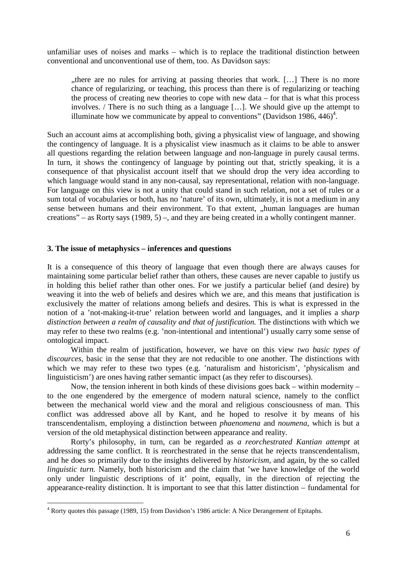unfamiliar uses of noises and marks – which is to replace the traditional distinction between conventional and unconventional use of them, too. As Davidson says:

there are no rules for arriving at passing theories that work. [...] There is no more chance of regularizing, or teaching, this process than there is of regularizing or teaching the process of creating new theories to cope with new data – for that is what this process involves. / There is no such thing as a language […]. We should give up the attempt to illuminate how we communicate by appeal to conventions" (Davidson 1986,  $446)^4$ .

Such an account aims at accomplishing both, giving a physicalist view of language, and showing the contingency of language. It is a physicalist view inasmuch as it claims to be able to answer all questions regarding the relation between language and non-language in purely causal terms. In turn, it shows the contingency of language by pointing out that, strictly speaking, it is a consequence of that physicalist account itself that we should drop the very idea according to which language would stand in any non-causal, say representational, relation with non-language. For language on this view is not a unity that could stand in such relation, not a set of rules or a sum total of vocabularies or both, has no 'nature' of its own, ultimately, it is not a medium in any sense between humans and their environment. To that extent, "human languages are human creations" – as Rorty says (1989, 5) –, and they are being created in a wholly contingent manner.

### **3. The issue of metaphysics – inferences and questions**

It is a consequence of this theory of language that even though there are always causes for maintaining some particular belief rather than others, these causes are never capable to justify us in holding this belief rather than other ones. For we justify a particular belief (and desire) by weaving it into the web of beliefs and desires which we are, and this means that justification is exclusively the matter of relations among beliefs and desires. This is what is expressed in the notion of a 'not-making-it-true' relation between world and languages, and it implies a *sharp distinction between a realm of causality and that of justification.* The distinctions with which we may refer to these two realms (e.g. 'non-intentional and intentional') usually carry some sense of ontological impact.

 Within the realm of justification, however, we have on this view *two basic types of discources*, basic in the sense that they are not reducible to one another. The distinctions with which we may refer to these two types (e.g. 'naturalism and historicism', 'physicalism and linguisticism') are ones having rather semantic impact (as they refer to discourses).

 Now, the tension inherent in both kinds of these divisions goes back – within modernity – to the one engendered by the emergence of modern natural science, namely to the conflict between the mechanical world view and the moral and religious consciousness of man. This conflict was addressed above all by Kant, and he hoped to resolve it by means of his transcendentalism, employing a distinction between *phaenomena* and *noumena*, which is but a version of the old metaphysical distinction between appearance and reality.

 Rorty's philosophy, in turn, can be regarded as *a reorchestrated Kantian attempt* at addressing the same conflict. It is reorchestrated in the sense that he rejects transcendentalism, and he does so primarily due to the insights delivered by *historicism*, and again, by the so called *linguistic turn.* Namely, both historicism and the claim that 'we have knowledge of the world only under linguistic descriptions of it' point, equally, in the direction of rejecting the appearance-reality distinction. It is important to see that this latter distinction – fundamental for

 4 Rorty quotes this passage (1989, 15) from Davidson's 1986 article: A Nice Derangement of Epitaphs.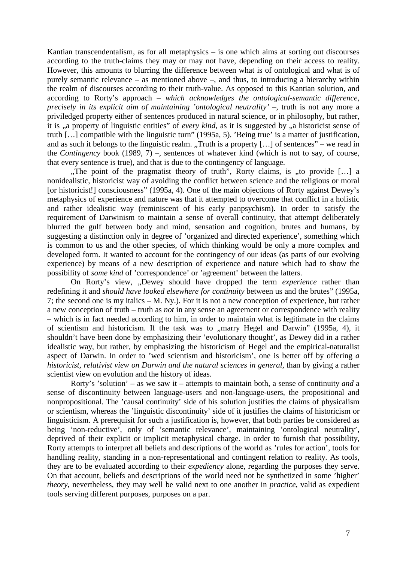Kantian transcendentalism, as for all metaphysics – is one which aims at sorting out discourses according to the truth-claims they may or may not have, depending on their access to reality. However, this amounts to blurring the difference between what is of ontological and what is of purely semantic relevance – as mentioned above –, and thus, to introducing a hierarchy within the realm of discourses according to their truth-value. As opposed to this Kantian solution, and according to Rorty's approach – *which acknowledges the ontological-semantic difference, precisely in its explicit aim of maintaining 'ontological neutrality'* –, truth is not any more a priviledged property either of sentences produced in natural science, or in philosophy, but rather, it is ..a property of linguistic entities" of *every kind*, as it is suggested by ..a historicist sense of truth […] compatible with the linguistic turn" (1995a, 5). 'Being true' is a matter of justification, and as such it belongs to the linguistic realm. "Truth is a property  $[\dots]$  of sentences" – we read in the *Contingency* book (1989, 7) –, sentences of whatever kind (which is not to say, of course, that every sentence is true), and that is due to the contingency of language.

"The point of the pragmatist theory of truth", Rorty claims, is "to provide [...] a nonidealistic, historicist way of avoiding the conflict between science and the religious or moral [or historicist!] consciousness" (1995a, 4). One of the main objections of Rorty against Dewey's metaphysics of experience and nature was that it attempted to overcome that conflict in a holistic and rather idealistic way (reminiscent of his early panpsychism). In order to satisfy the requirement of Darwinism to maintain a sense of overall continuity, that attempt deliberately blurred the gulf between body and mind, sensation and cognition, brutes and humans, by suggesting a distinction only in degree of 'organized and directed experience', something which is common to us and the other species, of which thinking would be only a more complex and developed form. It wanted to account for the contingency of our ideas (as parts of our evolving experience) by means of a new description of experience and nature which had to show the possibility of *some kind* of 'correspondence' or 'agreement' between the latters.

On Rorty's view, "Dewey should have dropped the term *experience* rather than redefining it and *should have looked elsewhere for continuity* between us and the brutes" (1995a, 7; the second one is my italics – M. Ny.). For it is not a new conception of experience, but rather a new conception of truth – truth as *not* in any sense an agreement or correspondence with reality – which is in fact needed according to him, in order to maintain what is legitimate in the claims of scientism and historicism. If the task was to "marry Hegel and Darwin" (1995a, 4), it shouldn't have been done by emphasizing their 'evolutionary thought', as Dewey did in a rather idealistic way, but rather, by emphasizing the historicism of Hegel and the empirical-naturalist aspect of Darwin. In order to 'wed scientism and historicism', one is better off by offering *a historicist, relativist view on Darwin and the natural sciences in general*, than by giving a rather scientist view on evolution and the history of ideas.

Rorty's 'solution' – as we saw it – attempts to maintain both, a sense of continuity *and* a sense of discontinuity between language-users and non-language-users, the propositional and nonpropositional. The 'causal continuity' side of his solution justifies the claims of physicalism or scientism, whereas the 'linguistic discontinuity' side of it justifies the claims of historicism or linguisticism. A prerequisit for such a justification is, however, that both parties be considered as being 'non-reductive', only of 'semantic relevance', maintaining 'ontological neutrality', deprived of their explicit or implicit metaphysical charge. In order to furnish that possibility, Rorty attempts to interpret all beliefs and descriptions of the world as 'rules for action', tools for handling reality, standing in a non-representational and contingent relation to reality. As tools, they are to be evaluated according to their *expediency* alone, regarding the purposes they serve. On that account, beliefs and descriptions of the world need not be synthetized in some 'higher' *theory*, nevertheless, they may well be valid next to one another in *practice*, valid as expedient tools serving different purposes, purposes on a par.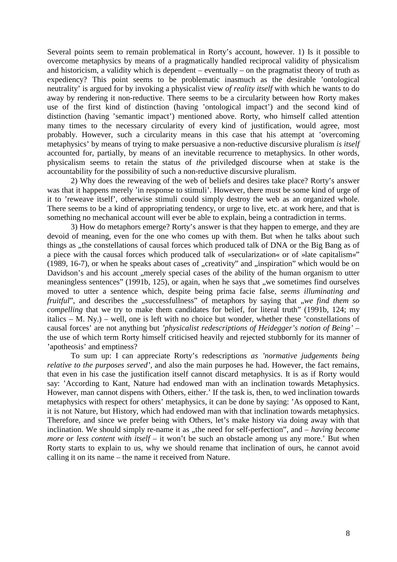Several points seem to remain problematical in Rorty's account, however. 1) Is it possible to overcome metaphysics by means of a pragmatically handled reciprocal validity of physicalism and historicism, a validity which is dependent – eventually – on the pragmatist theory of truth as expediency? This point seems to be problematic inasmuch as the desirable 'ontological neutrality' is argued for by invoking a physicalist view *of reality itself* with which he wants to do away by rendering it non-reductive. There seems to be a circularity between how Rorty makes use of the first kind of distinction (having 'ontological impact') and the second kind of distinction (having 'semantic impact') mentioned above. Rorty, who himself called attention many times to the necessary circularity of every kind of justification, would agree, most probably. However, such a circularity means in this case that his attempt at 'overcoming metaphysics' by means of trying to make persuasive a non-reductive discursive pluralism *is itself*  accounted for, partially, by means of an inevitable recurrence to metaphysics. In other words, physicalism seems to retain the status of *the* priviledged discourse when at stake is the accountability for the possibility of such a non-reductive discursive pluralism.

2) Why does the reweaving of the web of beliefs and desires take place? Rorty's answer was that it happens merely 'in response to stimuli'. However, there must be some kind of urge of it to 'reweave itself', otherwise stimuli could simply destroy the web as an organized whole. There seems to be a kind of appropriating tendency, or urge to live, etc. at work here, and that is something no mechanical account will ever be able to explain, being a contradiction in terms.

3) How do metaphors emerge? Rorty's answer is that they happen to emerge, and they are devoid of meaning, even for the one who comes up with them. But when he talks about such things as , the constellations of causal forces which produced talk of DNA or the Big Bang as of a piece with the causal forces which produced talk of »secularization« or of »late capitalism«"  $(1989, 16-7)$ , or when he speaks about cases of "creativity" and "inspiration" which would be on Davidson's and his account , merely special cases of the ability of the human organism to utter meaningless sentences" (1991b, 125), or again, when he says that "we sometimes find ourselves" moved to utter a sentence which, despite being prima facie false, *seems illuminating and fruitful*", and describes the "successfullness" of metaphors by saying that "we find them so *compelling* that we try to make them candidates for belief, for literal truth" (1991b, 124; my italics – M. Ny.) – well, one is left with no choice but wonder, whether these 'constellations of causal forces' are not anything but *'physicalist redescriptions of Heidegger's notion of Being' –*  the use of which term Rorty himself criticised heavily and rejected stubbornly for its manner of 'apotheosis' and emptiness?

To sum up: I can appreciate Rorty's redescriptions *as 'normative judgements being relative to the purposes served',* and also the main purposes he had. However, the fact remains, that even in his case the justification itself cannot discard metaphysics. It is as if Rorty would say: 'According to Kant, Nature had endowed man with an inclination towards Metaphysics. However, man cannot dispens with Others, either.' If the task is, then, to wed inclination towards metaphysics with respect for others' metaphysics, it can be done by saying: 'As opposed to Kant, it is not Nature, but History, which had endowed man with that inclination towards metaphysics. Therefore, and since we prefer being with Others, let's make history via doing away with that inclination. We should simply re-name it as "the need for self-perfection", and – *having become more or less content with itself* – it won't be such an obstacle among us any more.' But when Rorty starts to explain to us, why we should rename that inclination of ours, he cannot avoid calling it on its name – the name it received from Nature.